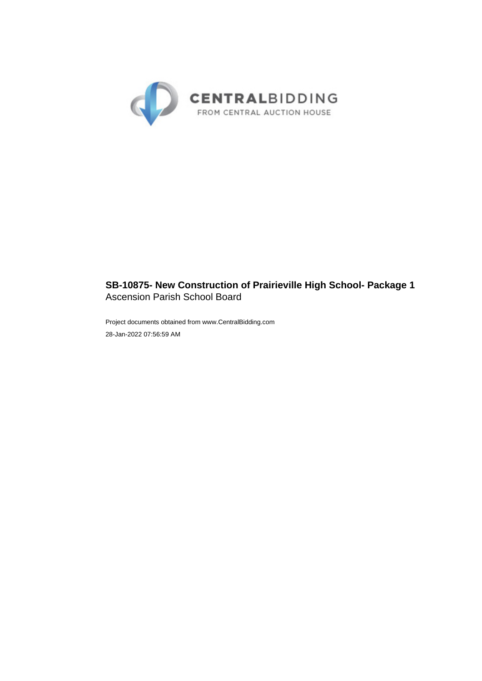

# **SB-10875- New Construction of Prairieville High School- Package 1** Ascension Parish School Board

Project documents obtained from www.CentralBidding.com 28-Jan-2022 07:56:59 AM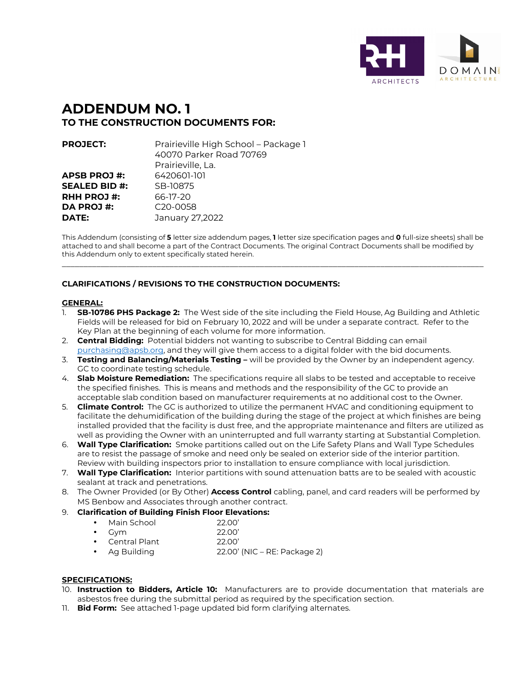

# **ADDENDUM NO. 1 TO THE CONSTRUCTION DOCUMENTS FOR:**

| <b>PROJECT:</b>      | Prairieville High School - Package 1<br>40070 Parker Road 70769 |
|----------------------|-----------------------------------------------------------------|
|                      | Prairieville, La.                                               |
| <b>APSB PROJ#:</b>   | 6420601-101                                                     |
| <b>SEALED BID #:</b> | SB-10875                                                        |
| <b>RHH PROJ#:</b>    | 66-17-20                                                        |
| DA PROJ #:           | C <sub>20</sub> -0058                                           |
| DATE:                | January 27,2022                                                 |

This Addendum (consisting of **5** letter size addendum pages, **1** letter size specification pages and **0** full-size sheets) shall be attached to and shall become a part of the Contract Documents. The original Contract Documents shall be modified by this Addendum only to extent specifically stated herein.

\_\_\_\_\_\_\_\_\_\_\_\_\_\_\_\_\_\_\_\_\_\_\_\_\_\_\_\_\_\_\_\_\_\_\_\_\_\_\_\_\_\_\_\_\_\_\_\_\_\_\_\_\_\_\_\_\_\_\_\_\_\_\_\_\_\_\_\_\_\_\_\_\_\_\_\_\_\_\_\_\_\_\_\_\_\_\_\_\_\_\_\_\_\_\_\_\_\_

### **CLARIFICATIONS / REVISIONS TO THE CONSTRUCTION DOCUMENTS:**

#### **GENERAL:**

- 1. **SB-10786 PHS Package 2:** The West side of the site including the Field House, Ag Building and Athletic Fields will be released for bid on February 10, 2022 and will be under a separate contract. Refer to the Key Plan at the beginning of each volume for more information.
- 2. **Central Bidding:** Potential bidders not wanting to subscribe to Central Bidding can email purchasing@apsb.org, and they will give them access to a digital folder with the bid documents.
- 3. **Testing and Balancing/Materials Testing** will be provided by the Owner by an independent agency. GC to coordinate testing schedule.
- 4. **Slab Moisture Remediation:** The specifications require all slabs to be tested and acceptable to receive the specified finishes. This is means and methods and the responsibility of the GC to provide an acceptable slab condition based on manufacturer requirements at no additional cost to the Owner.
- 5. **Climate Control:** The GC is authorized to utilize the permanent HVAC and conditioning equipment to facilitate the dehumidification of the building during the stage of the project at which finishes are being installed provided that the facility is dust free, and the appropriate maintenance and filters are utilized as well as providing the Owner with an uninterrupted and full warranty starting at Substantial Completion.
- 6. **Wall Type Clarification:** Smoke partitions called out on the Life Safety Plans and Wall Type Schedules are to resist the passage of smoke and need only be sealed on exterior side of the interior partition. Review with building inspectors prior to installation to ensure compliance with local jurisdiction.
- 7. **Wall Type Clarification:** Interior partitions with sound attenuation batts are to be sealed with acoustic sealant at track and penetrations.
- 8. The Owner Provided (or By Other) **Access Control** cabling, panel, and card readers will be performed by MS Benbow and Associates through another contract.
- 9. **Clarification of Building Finish Floor Elevations:**

|  | Main School | 22.00' |
|--|-------------|--------|
|--|-------------|--------|

- Gym 22.00'
- Central Plant 22.00'
- Ag Building 22.00' (NIC RE: Package 2)

#### **SPECIFICATIONS:**

- 10. **Instruction to Bidders, Article 10:** Manufacturers are to provide documentation that materials are asbestos free during the submittal period as required by the specification section.
- 11. **Bid Form:** See attached 1-page updated bid form clarifying alternates.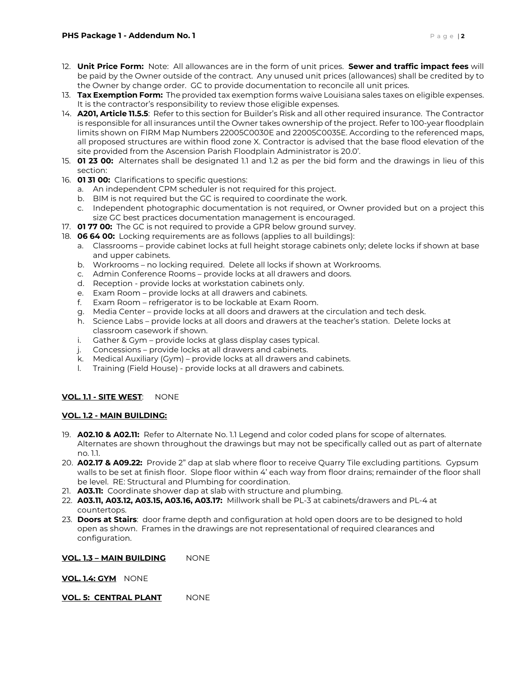- 12. **Unit Price Form:** Note: All allowances are in the form of unit prices. **Sewer and traffic impact fees** will be paid by the Owner outside of the contract. Any unused unit prices (allowances) shall be credited by to the Owner by change order. GC to provide documentation to reconcile all unit prices.
- 13. **Tax Exemption Form:** The provided tax exemption forms waive Louisiana sales taxes on eligible expenses. It is the contractor's responsibility to review those eligible expenses.
- 14. **A201, Article 11.5.5**: Refer to this section for Builder's Risk and all other required insurance. The Contractor is responsible for all insurances until the Owner takes ownership of the project. Refer to 100-year floodplain limits shown on FIRM Map Numbers 22005C0030E and 22005C0035E. According to the referenced maps, all proposed structures are within flood zone X. Contractor is advised that the base flood elevation of the site provided from the Ascension Parish Floodplain Administrator is 20.0'.
- 15. **01 23 00:** Alternates shall be designated 1.1 and 1.2 as per the bid form and the drawings in lieu of this section:
- 16. **01 31 00:** Clarifications to specific questions:
	- a. An independent CPM scheduler is not required for this project.
	- b. BIM is not required but the GC is required to coordinate the work.
	- c. Independent photographic documentation is not required, or Owner provided but on a project this size GC best practices documentation management is encouraged.
- 17. **01 77 00:** The GC is not required to provide a GPR below ground survey.
- 18. **06 64 00:** Locking requirements are as follows (applies to all buildings):
	- a. Classrooms provide cabinet locks at full height storage cabinets only; delete locks if shown at base and upper cabinets.
	- b. Workrooms no locking required. Delete all locks if shown at Workrooms.
	- c. Admin Conference Rooms provide locks at all drawers and doors.
	- d. Reception provide locks at workstation cabinets only.
	- e. Exam Room provide locks at all drawers and cabinets.
	- f. Exam Room refrigerator is to be lockable at Exam Room.
	- g. Media Center provide locks at all doors and drawers at the circulation and tech desk.
	- h. Science Labs provide locks at all doors and drawers at the teacher's station. Delete locks at classroom casework if shown.
	- i. Gather & Gym provide locks at glass display cases typical.
	- j. Concessions provide locks at all drawers and cabinets.
	- k. Medical Auxiliary (Gym) provide locks at all drawers and cabinets.
	- l. Training (Field House) provide locks at all drawers and cabinets.

#### **VOL. 1.1 - SITE WEST**: NONE

#### **VOL. 1.2 - MAIN BUILDING:**

- 19. **A02.10 & A02.11:** Refer to Alternate No. 1.1 Legend and color coded plans for scope of alternates. Alternates are shown throughout the drawings but may not be specifically called out as part of alternate no. 1.1.
- 20. **A02.17 & A09.22:** Provide 2" dap at slab where floor to receive Quarry Tile excluding partitions.Gypsum walls to be set at finish floor. Slope floor within 4' each way from floor drains; remainder of the floor shall be level. RE: Structural and Plumbing for coordination.
- 21. **A03.11:** Coordinate shower dap at slab with structure and plumbing.
- 22. **A03.11, A03.12, A03.15, A03.16, A03.17:** Millwork shall be PL-3 at cabinets/drawers and PL-4 at countertops.
- 23. **Doors at Stairs**: door frame depth and configuration at hold open doors are to be designed to hold open as shown. Frames in the drawings are not representational of required clearances and configuration.

#### **VOL. 1.3 – MAIN BUILDING** NONE

**VOL. 1.4: GYM** NONE

#### **VOL. 5: CENTRAL PLANT NONE**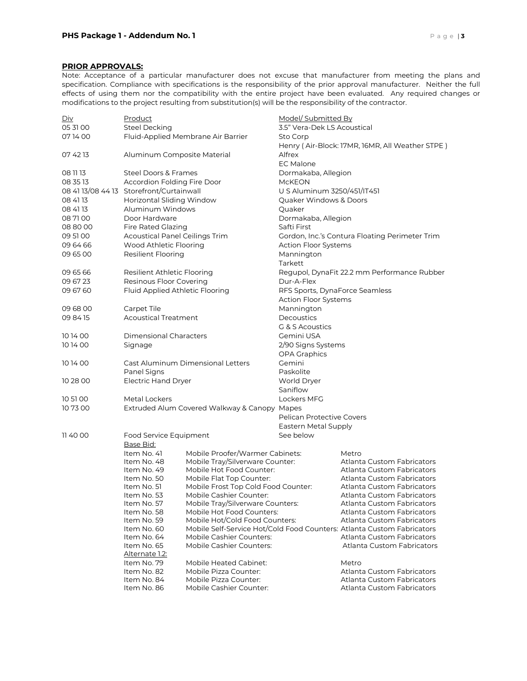#### **PRIOR APPROVALS:**

Note: Acceptance of a particular manufacturer does not excuse that manufacturer from meeting the plans and specification. Compliance with specifications is the responsibility of the prior approval manufacturer. Neither the full effects of using them nor the compatibility with the entire project have been evaluated. Any required changes or modifications to the project resulting from substitution(s) will be the responsibility of the contractor.

| <u>Div</u> | <b>Product</b>                                  |                                              | Model/Submitted By                             |                                                                        |  |
|------------|-------------------------------------------------|----------------------------------------------|------------------------------------------------|------------------------------------------------------------------------|--|
| 05 31 00   | <b>Steel Decking</b>                            | 3.5" Vera-Dek LS Acoustical                  |                                                |                                                                        |  |
| 071400     |                                                 | Fluid-Applied Membrane Air Barrier           | Sto Corp                                       |                                                                        |  |
|            |                                                 |                                              |                                                | Henry (Air-Block: 17MR, 16MR, All Weather STPE)                        |  |
| 07 42 13   | Aluminum Composite Material                     |                                              | Alfrex                                         |                                                                        |  |
|            |                                                 |                                              | <b>EC Malone</b>                               |                                                                        |  |
| 08 11 13   | <b>Steel Doors &amp; Frames</b>                 |                                              | Dormakaba, Allegion                            |                                                                        |  |
| 08 35 13   | Accordion Folding Fire Door                     |                                              | <b>McKEON</b>                                  |                                                                        |  |
|            | 08 41 13/08 44 13 Storefront/Curtainwall        |                                              | U S Aluminum 3250/451/IT451                    |                                                                        |  |
| 08 41 13   | <b>Horizontal Sliding Window</b>                |                                              | Quaker Windows & Doors                         |                                                                        |  |
| 08 41 13   | Aluminum Windows                                |                                              | Quaker                                         |                                                                        |  |
| 087100     | Door Hardware                                   |                                              | Dormakaba, Allegion                            |                                                                        |  |
| 088000     | <b>Fire Rated Glazing</b>                       |                                              | Safti First                                    |                                                                        |  |
| 09 51 00   | <b>Acoustical Panel Ceilings Trim</b>           |                                              | Gordon, Inc.'s Contura Floating Perimeter Trim |                                                                        |  |
| 09 64 66   | Wood Athletic Flooring                          |                                              | <b>Action Floor Systems</b>                    |                                                                        |  |
| 09 65 00   | Resilient Flooring                              |                                              | Mannington                                     |                                                                        |  |
|            |                                                 |                                              | Tarkett                                        |                                                                        |  |
| 09 65 66   | Resilient Athletic Flooring                     |                                              |                                                | Regupol, DynaFit 22.2 mm Performance Rubber                            |  |
| 09 67 23   | Resinous Floor Covering                         |                                              | Dur-A-Flex                                     |                                                                        |  |
| 09 67 60   | Fluid Applied Athletic Flooring                 |                                              |                                                | RFS Sports, DynaForce Seamless                                         |  |
|            |                                                 |                                              | Action Floor Systems                           |                                                                        |  |
| 09 68 00   | Carpet Tile                                     |                                              | Mannington                                     |                                                                        |  |
| 09 84 15   | <b>Acoustical Treatment</b>                     |                                              | Decoustics                                     |                                                                        |  |
|            |                                                 |                                              | G & S Acoustics                                |                                                                        |  |
| 101400     | Dimensional Characters                          |                                              | Gemini USA                                     |                                                                        |  |
| 101400     |                                                 |                                              |                                                |                                                                        |  |
|            | Signage                                         |                                              | 2/90 Signs Systems<br>OPA Graphics             |                                                                        |  |
| 101400     |                                                 | Cast Aluminum Dimensional Letters            | Gemini                                         |                                                                        |  |
|            | Panel Signs                                     |                                              | Paskolite                                      |                                                                        |  |
| 10 28 00   | Electric Hand Dryer                             |                                              | World Dryer                                    |                                                                        |  |
|            |                                                 |                                              | Saniflow                                       |                                                                        |  |
| 10 51 00   | Metal Lockers                                   |                                              | Lockers MFG                                    |                                                                        |  |
| 107300     |                                                 | Extruded Alum Covered Walkway & Canopy Mapes |                                                |                                                                        |  |
|            |                                                 |                                              | Pelican Protective Covers                      |                                                                        |  |
|            |                                                 |                                              | Eastern Metal Supply                           |                                                                        |  |
| 11 40 00   | Food Service Equipment                          |                                              | See below                                      |                                                                        |  |
|            | Base Bid:                                       |                                              |                                                |                                                                        |  |
|            | Item No. 41                                     | Mobile Proofer/Warmer Cabinets:              |                                                | Metro                                                                  |  |
|            | Item No. 48                                     | Mobile Tray/Silverware Counter:              |                                                | Atlanta Custom Fabricators                                             |  |
|            | Item No. 49                                     | Mobile Hot Food Counter:                     |                                                | Atlanta Custom Fabricators                                             |  |
|            | Item No. 50                                     | Mobile Flat Top Counter:                     |                                                | Atlanta Custom Fabricators                                             |  |
|            | Item No. 51                                     | Mobile Frost Top Cold Food Counter:          |                                                | Atlanta Custom Fabricators                                             |  |
|            | Mobile Cashier Counter:<br>Item No. 53          |                                              |                                                | Atlanta Custom Fabricators                                             |  |
|            | Item No. 57<br>Mobile Tray/Silverware Counters: |                                              |                                                | Atlanta Custom Fabricators                                             |  |
|            | Item No. 58                                     | Mobile Hot Food Counters:                    |                                                | Atlanta Custom Fabricators                                             |  |
|            | Item No. 59                                     | Mobile Hot/Cold Food Counters:               |                                                | Atlanta Custom Fabricators                                             |  |
|            | Item No. 60                                     |                                              |                                                | Mobile Self-Service Hot/Cold Food Counters: Atlanta Custom Fabricators |  |
|            | Item No. 64                                     | Mobile Cashier Counters:                     |                                                | Atlanta Custom Fabricators                                             |  |
|            | Item No. 65                                     | <b>Mobile Cashier Counters:</b>              |                                                | Atlanta Custom Fabricators                                             |  |
|            | Alternate 1.2:                                  |                                              |                                                |                                                                        |  |
|            | Item No. 79                                     | <b>Mobile Heated Cabinet:</b>                |                                                | Metro                                                                  |  |
|            | Item No. 82                                     | Mobile Pizza Counter:                        |                                                | <b>Atlanta Custom Fabricators</b>                                      |  |
|            | Item No. 84                                     | Mobile Pizza Counter:                        |                                                | Atlanta Custom Fabricators                                             |  |
|            | Item No. 86                                     | Mobile Cashier Counter:                      |                                                | Atlanta Custom Fabricators                                             |  |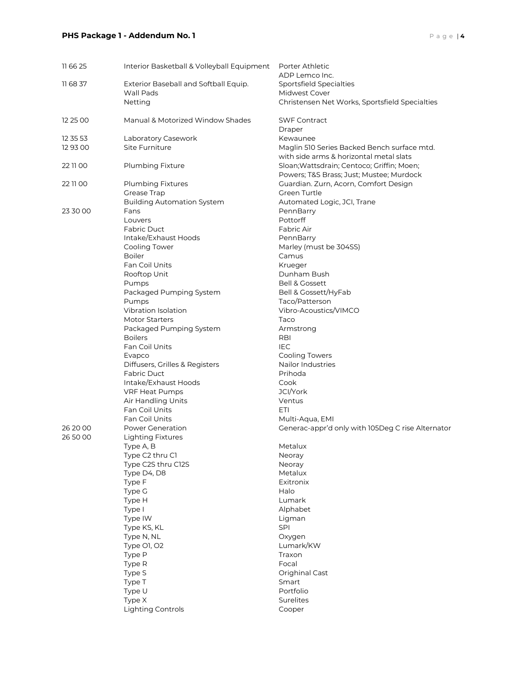## **PHS Package 1 - Addendum No. 1** Page 14

| 11 66 25 | Interior Basketball & Volleyball Equipment | Porter Athletic<br>ADP Lemco Inc.                       |
|----------|--------------------------------------------|---------------------------------------------------------|
| 11 68 37 | Exterior Baseball and Softball Equip.      | Sportsfield Specialties                                 |
|          | <b>Wall Pads</b>                           | Midwest Cover                                           |
|          | Netting                                    | Christensen Net Works, Sportsfield Specialties          |
| 12 25 00 | Manual & Motorized Window Shades           | <b>SWF Contract</b>                                     |
| 12 35 53 |                                            | Draper                                                  |
| 12 93 00 | Laboratory Casework<br>Site Furniture      | Kewaunee<br>Maglin 510 Series Backed Bench surface mtd. |
|          |                                            | with side arms & horizontal metal slats                 |
| 22 11 00 | Plumbing Fixture                           | Sloan; Wattsdrain; Centoco; Griffin; Moen;              |
|          |                                            | Powers; T&S Brass; Just; Mustee; Murdock                |
| 22 11 00 | Plumbing Fixtures                          | Guardian. Zurn, Acorn, Comfort Design                   |
|          | Grease Trap                                | Green Turtle                                            |
|          | <b>Building Automation System</b>          | Automated Logic, JCI, Trane                             |
| 23 30 00 | Fans                                       | PennBarry                                               |
|          | Louvers                                    | Pottorff                                                |
|          | <b>Fabric Duct</b>                         | Fabric Air                                              |
|          | Intake/Exhaust Hoods                       | PennBarry                                               |
|          | Cooling Tower                              | Marley (must be 304SS)                                  |
|          | <b>Boiler</b>                              | Camus                                                   |
|          | Fan Coil Units                             | Krueger                                                 |
|          | Rooftop Unit                               | Dunham Bush                                             |
|          | Pumps                                      | <b>Bell &amp; Gossett</b>                               |
|          | Packaged Pumping System                    | Bell & Gossett/HyFab                                    |
|          | Pumps                                      | Taco/Patterson                                          |
|          | Vibration Isolation                        | Vibro-Acoustics/VIMCO                                   |
|          | <b>Motor Starters</b>                      | Taco                                                    |
|          | Packaged Pumping System<br><b>Boilers</b>  | Armstrong<br>RBI                                        |
|          | Fan Coil Units                             | <b>IEC</b>                                              |
|          | Evapco                                     | <b>Cooling Towers</b>                                   |
|          | Diffusers, Grilles & Registers             | Nailor Industries                                       |
|          | <b>Fabric Duct</b>                         | Prihoda                                                 |
|          | Intake/Exhaust Hoods                       | Cook                                                    |
|          | VRF Heat Pumps                             | JCI/York                                                |
|          | Air Handling Units                         | Ventus                                                  |
|          | Fan Coil Units                             | ETI                                                     |
|          | Fan Coil Units                             | Multi-Aqua, EMI                                         |
| 26 20 00 | Power Generation                           | Generac-appr'd only with 105Deg C rise Alternator       |
| 26 50 00 | <b>Lighting Fixtures</b>                   |                                                         |
|          | Type A, B                                  | Metalux                                                 |
|          | Type C2 thru C1                            | Neoray                                                  |
|          | Type C2S thru C12S                         | <b>Neoray</b>                                           |
|          | Type D4, D8                                | Metalux                                                 |
|          | Type F                                     | Exitronix                                               |
|          | Type G                                     | Halo                                                    |
|          | Type H                                     | Lumark                                                  |
|          | Type I                                     | Alphabet                                                |
|          | Type IW                                    | Ligman<br>SPI                                           |
|          | Type KS, KL<br>Type N, NL                  | Oxygen                                                  |
|          | Type O1, O2                                | Lumark/KW                                               |
|          | Type P                                     | Traxon                                                  |
|          | Type R                                     | Focal                                                   |
|          | Type S                                     | Orighinal Cast                                          |
|          | Type T                                     | Smart                                                   |
|          | Type U                                     | Portfolio                                               |
|          | Type X                                     | Surelites                                               |
|          | <b>Lighting Controls</b>                   | Cooper                                                  |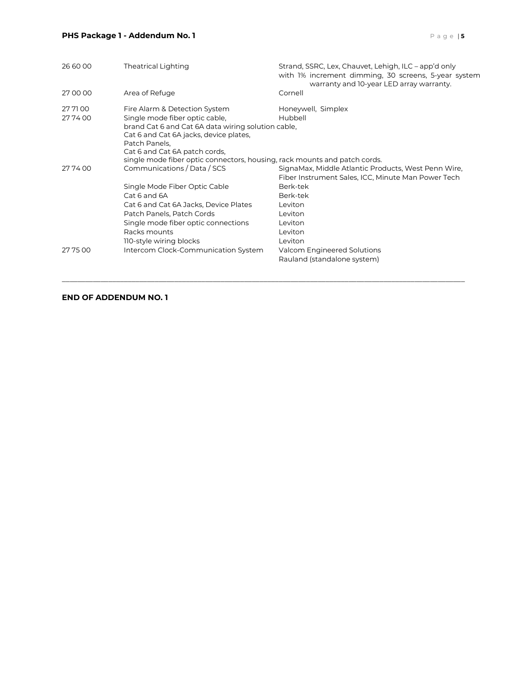### **PHS Package 1 - Addendum No. 1** Page 15

| 26 60 00           | <b>Theatrical Lighting</b>                                                                                                                                                                                        | Strand, SSRC, Lex, Chauvet, Lehigh, ILC - app'd only<br>with 1% increment dimming, 30 screens, 5-year system<br>warranty and 10-year LED array warranty. |
|--------------------|-------------------------------------------------------------------------------------------------------------------------------------------------------------------------------------------------------------------|----------------------------------------------------------------------------------------------------------------------------------------------------------|
| 27 00 00           | Area of Refuge                                                                                                                                                                                                    | Cornell                                                                                                                                                  |
| 27 71 00<br>277400 | Fire Alarm & Detection System<br>Single mode fiber optic cable,<br>brand Cat 6 and Cat 6A data wiring solution cable,<br>Cat 6 and Cat 6A jacks, device plates,<br>Patch Panels,<br>Cat 6 and Cat 6A patch cords, | Honeywell, Simplex<br>Hubbell                                                                                                                            |
|                    | single mode fiber optic connectors, housing, rack mounts and patch cords.                                                                                                                                         |                                                                                                                                                          |
| 277400             | Communications / Data / SCS                                                                                                                                                                                       | SignaMax, Middle Atlantic Products, West Penn Wire,<br>Fiber Instrument Sales, ICC, Minute Man Power Tech                                                |
|                    | Single Mode Fiber Optic Cable<br>Cat 6 and 6A<br>Cat 6 and Cat 6A Jacks, Device Plates<br>Patch Panels, Patch Cords<br>Single mode fiber optic connections<br>Racks mounts<br>110-style wiring blocks             | Berk-tek<br>Berk-tek<br>Leviton<br>Leviton<br>Leviton<br>Leviton<br>Leviton                                                                              |
| 27 75 00           | Intercom Clock-Communication System                                                                                                                                                                               | Valcom Engineered Solutions<br>Rauland (standalone system)                                                                                               |

\_\_\_\_\_\_\_\_\_\_\_\_\_\_\_\_\_\_\_\_\_\_\_\_\_\_\_\_\_\_\_\_\_\_\_\_\_\_\_\_\_\_\_\_\_\_\_\_\_\_\_\_\_\_\_\_\_\_\_\_\_\_\_\_\_\_\_\_\_\_\_\_\_\_\_\_\_\_\_\_\_\_\_\_\_\_\_\_\_\_\_\_\_\_\_\_\_\_\_\_\_\_\_\_

### **END OF ADDENDUM NO. 1**